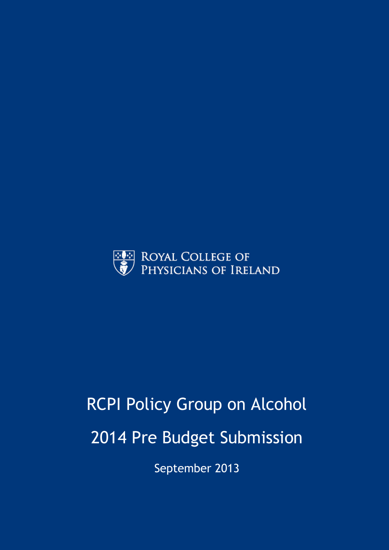

# RCPI Policy Group on Alcohol 2014 Pre Budget Submission

September 2013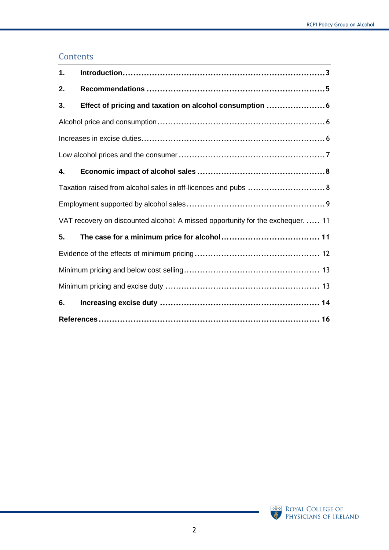## **Contents**

| 1. |                                                                                 |
|----|---------------------------------------------------------------------------------|
| 2. |                                                                                 |
| 3. | Effect of pricing and taxation on alcohol consumption 6                         |
|    |                                                                                 |
|    |                                                                                 |
|    |                                                                                 |
| 4. |                                                                                 |
|    | Taxation raised from alcohol sales in off-licences and pubs  8                  |
|    |                                                                                 |
|    | VAT recovery on discounted alcohol: A missed opportunity for the exchequer.  11 |
| 5. |                                                                                 |
|    |                                                                                 |
|    |                                                                                 |
|    |                                                                                 |
| 6. |                                                                                 |
|    |                                                                                 |

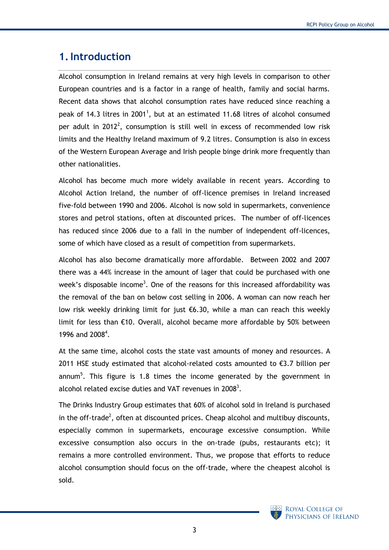# <span id="page-2-0"></span>**1.Introduction**

<span id="page-2-2"></span>Alcohol consumption in Ireland remains at very high levels in comparison to other European countries and is a factor in a range of health, family and social harms. Recent data shows that alcohol consumption rates have reduced since reaching a peak of 14.3 litres in 2001<sup>1</sup>, but at an estimated 11.68 litres of alcohol consumed per adult in 2012<sup>2</sup>, consumption is still well in excess of recommended low risk limits and the Healthy Ireland maximum of 9.2 litres. Consumption is also in excess of the Western European Average and Irish people binge drink more frequently than other nationalities.

Alcohol has become much more widely available in recent years. According to Alcohol Action Ireland, the number of off-licence premises in Ireland increased five-fold between 1990 and 2006. Alcohol is now sold in supermarkets, convenience stores and petrol stations, often at discounted prices. The number of off-licences has reduced since 2006 due to a fall in the number of independent off-licences, some of which have closed as a result of competition from supermarkets.

<span id="page-2-1"></span>Alcohol has also become dramatically more affordable. Between 2002 and 2007 there was a 44% increase in the amount of lager that could be purchased with one week's disposable income<sup>3</sup>. One of the reasons for this increased affordability was the removal of the ban on below cost selling in 2006. A woman can now reach her low risk weekly drinking limit for just €6.30, while a man can reach this weekly limit for less than €10. Overall, alcohol became more affordable by 50% between 1996 and 2008<sup>4</sup>.

At the same time, alcohol costs the state vast amounts of money and resources. A 2011 HSE study estimated that alcohol-related costs amounted to  $\epsilon$ 3.7 billion per annum<sup>5</sup>. This figure is 1.8 times the income generated by the government in alcohol related excise duties and VAT revenues in 200[8](#page-2-1)<sup>3</sup>.

The Drinks Industry Group estimates that 60% of alcohol sold in Ireland is purchased in the off-trade<sup>2</sup>[,](#page-2-2) often at discounted prices. Cheap alcohol and multibuy discounts, especially common in supermarkets, encourage excessive consumption. While excessive consumption also occurs in the on-trade (pubs, restaurants etc); it remains a more controlled environment. Thus, we propose that efforts to reduce alcohol consumption should focus on the off-trade, where the cheapest alcohol is sold.

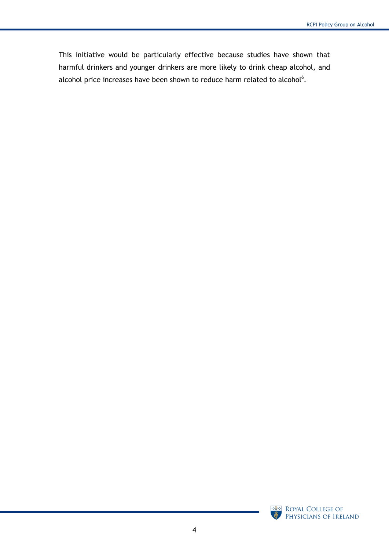<span id="page-3-0"></span>This initiative would be particularly effective because studies have shown that harmful drinkers and younger drinkers are more likely to drink cheap alcohol, and alcohol price increases have been shown to reduce harm related to alcohol<sup>6</sup>.

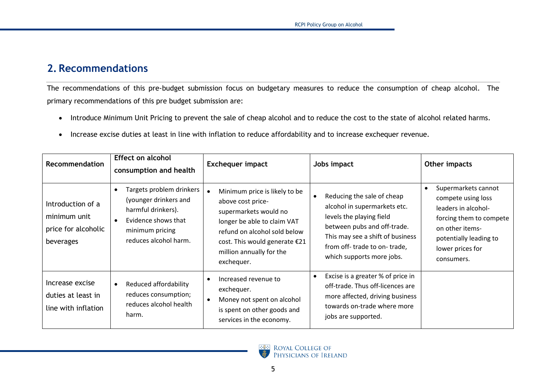# **2. Recommendations**

The recommendations of this pre-budget submission focus on budgetary measures to reduce the consumption of cheap alcohol. The primary recommendations of this pre budget submission are:

- Introduce Minimum Unit Pricing to prevent the sale of cheap alcohol and to reduce the cost to the state of alcohol related harms.
- Increase excise duties at least in line with inflation to reduce affordability and to increase exchequer revenue.

<span id="page-4-0"></span>

| <b>Recommendation</b>                                                 | <b>Effect on alcohol</b><br>consumption and health                                                                                         | <b>Exchequer impact</b>                                                                                                                                                                                                            | Jobs impact                                                                                                                                                                                                           | Other impacts                                                                                                                                                              |
|-----------------------------------------------------------------------|--------------------------------------------------------------------------------------------------------------------------------------------|------------------------------------------------------------------------------------------------------------------------------------------------------------------------------------------------------------------------------------|-----------------------------------------------------------------------------------------------------------------------------------------------------------------------------------------------------------------------|----------------------------------------------------------------------------------------------------------------------------------------------------------------------------|
| Introduction of a<br>minimum unit<br>price for alcoholic<br>beverages | Targets problem drinkers<br>(younger drinkers and<br>harmful drinkers).<br>Evidence shows that<br>minimum pricing<br>reduces alcohol harm. | Minimum price is likely to be<br>$\bullet$<br>above cost price-<br>supermarkets would no<br>longer be able to claim VAT<br>refund on alcohol sold below<br>cost. This would generate €21<br>million annually for the<br>exchequer. | Reducing the sale of cheap<br>alcohol in supermarkets etc.<br>levels the playing field<br>between pubs and off-trade.<br>This may see a shift of business<br>from off-trade to on-trade,<br>which supports more jobs. | Supermarkets cannot<br>compete using loss<br>leaders in alcohol-<br>forcing them to compete<br>on other items-<br>potentially leading to<br>lower prices for<br>consumers. |
| Increase excise<br>duties at least in<br>line with inflation          | Reduced affordability<br>reduces consumption;<br>reduces alcohol health<br>harm.                                                           | Increased revenue to<br>$\bullet$<br>exchequer.<br>Money not spent on alcohol<br>$\bullet$<br>is spent on other goods and<br>services in the economy.                                                                              | Excise is a greater % of price in<br>off-trade. Thus off-licences are<br>more affected, driving business<br>towards on-trade where more<br>jobs are supported.                                                        |                                                                                                                                                                            |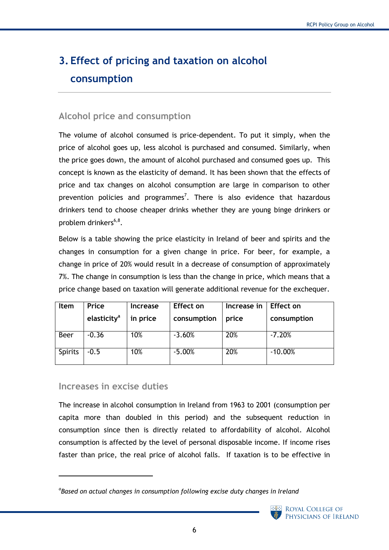# <span id="page-5-0"></span>**3. Effect of pricing and taxation on alcohol consumption**

#### <span id="page-5-1"></span>**Alcohol price and consumption**

The volume of alcohol consumed is price-dependent. To put it simply, when the price of alcohol goes up, less alcohol is purchased and consumed. Similarly, when the price goes down, the amount of alcohol purchased and consumed goes up. This concept is known as the elasticity of demand. It has been shown that the effects of price and tax changes on alcohol consumption are large in comparison to other prevention policies and programmes<sup>7</sup>. There is also evidence that hazardous drinkers tend to choose cheaper drinks whether they are young binge drinkers or problem drinkers<sup>[6,](#page-3-0)8</sup>.

Below is a table showing the price elasticity in Ireland of beer and spirits and the changes in consumption for a given change in price. For beer, for example, a change in price of 20% would result in a decrease of consumption of approximately 7%. The change in consumption is less than the change in price, which means that a price change based on taxation will generate additional revenue for the exchequer.

| <b>Item</b>    | Price                   | Increase | <b>Effect on</b> | Increase in | Effect on   |
|----------------|-------------------------|----------|------------------|-------------|-------------|
|                | elasticity <sup>a</sup> | in price | consumption      | price       | consumption |
| <b>Beer</b>    | $-0.36$                 | 10%      | $-3.60%$         | 20%         | $-7.20%$    |
| <b>Spirits</b> | $-0.5$                  | 10%      | $-5.00%$         | 20%         | $-10.00%$   |

#### <span id="page-5-2"></span>**Increases in excise duties**

 $\overline{a}$ 

The increase in alcohol consumption in Ireland from 1963 to 2001 (consumption per capita more than doubled in this period) and the subsequent reduction in consumption since then is directly related to affordability of alcohol. Alcohol consumption is affected by the level of personal disposable income. If income rises faster than price, the real price of alcohol falls. If taxation is to be effective in

*a Based on actual changes in consumption following excise duty changes in Ireland*

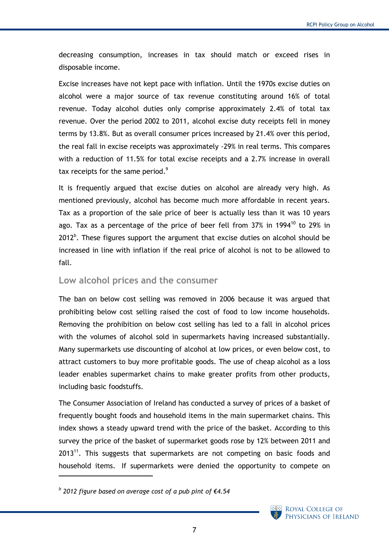decreasing consumption, increases in tax should match or exceed rises in disposable income.

Excise increases have not kept pace with inflation. Until the 1970s excise duties on alcohol were a major source of tax revenue constituting around 16% of total revenue. Today alcohol duties only comprise approximately 2.4% of total tax revenue. Over the period 2002 to 2011, alcohol excise duty receipts fell in money terms by 13.8%. But as overall consumer prices increased by 21.4% over this period, the real fall in excise receipts was approximately -29% in real terms. This compares with a reduction of 11.5% for total excise receipts and a 2.7% increase in overall tax receipts for the same period.<sup>9</sup>

It is frequently argued that excise duties on alcohol are already very high. As mentioned previously, alcohol has become much more affordable in recent years. Tax as a proportion of the sale price of beer is actually less than it was 10 years ago. Tax as a percentage of the price of beer fell from  $37\%$  in 1994<sup>10</sup> to 29% in  $2012<sup>b</sup>$ . These figures support the argument that excise duties on alcohol should be increased in line with inflation if the real price of alcohol is not to be allowed to fall.

#### <span id="page-6-0"></span>**Low alcohol prices and the consumer**

The ban on below cost selling was removed in 2006 because it was argued that prohibiting below cost selling raised the cost of food to low income households. Removing the prohibition on below cost selling has led to a fall in alcohol prices with the volumes of alcohol sold in supermarkets having increased substantially. Many supermarkets use discounting of alcohol at low prices, or even below cost, to attract customers to buy more profitable goods. The use of cheap alcohol as a loss leader enables supermarket chains to make greater profits from other products, including basic foodstuffs.

The Consumer Association of Ireland has conducted a survey of prices of a basket of frequently bought foods and household items in the main supermarket chains. This index shows a steady upward trend with the price of the basket. According to this survey the price of the basket of supermarket goods rose by 12% between 2011 and 2013<sup>11</sup>. This suggests that supermarkets are not competing on basic foods and household items. If supermarkets were denied the opportunity to compete on

 $\overline{a}$ 



*b 2012 figure based on average cost of a pub pint of €4.54*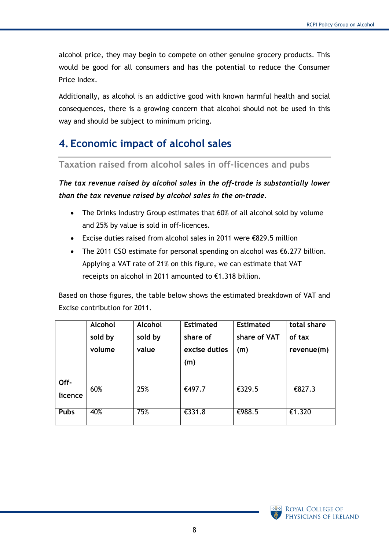alcohol price, they may begin to compete on other genuine grocery products. This would be good for all consumers and has the potential to reduce the Consumer Price Index.

Additionally, as alcohol is an addictive good with known harmful health and social consequences, there is a growing concern that alcohol should not be used in this way and should be subject to minimum pricing.

# <span id="page-7-0"></span>**4. Economic impact of alcohol sales**

#### <span id="page-7-1"></span>**Taxation raised from alcohol sales in off-licences and pubs**

*The tax revenue raised by alcohol sales in the off-trade is substantially lower than the tax revenue raised by alcohol sales in the on-trade.* 

- The Drinks Industry Group estimates that 60% of all alcohol sold by volume and 25% by value is sold in off-licences.
- Excise duties raised from alcohol sales in 2011 were €829.5 million
- The 2011 CSO estimate for personal spending on alcohol was €6.277 billion. Applying a VAT rate of 21% on this figure, we can estimate that VAT receipts on alcohol in 2011 amounted to €1.318 billion.

Based on those figures, the table below shows the estimated breakdown of VAT and Excise contribution for 2011.

|             | <b>Alcohol</b> | Alcohol | <b>Estimated</b> | <b>Estimated</b> | total share |
|-------------|----------------|---------|------------------|------------------|-------------|
|             | sold by        | sold by | share of         | share of VAT     | of tax      |
|             | volume         | value   | excise duties    | (m)              | revenue(m)  |
|             |                |         | (m)              |                  |             |
|             |                |         |                  |                  |             |
| Off-        | 60%            | 25%     | €497.7           | €329.5           | €827.3      |
| licence     |                |         |                  |                  |             |
|             |                |         |                  |                  |             |
| <b>Pubs</b> | 40%            | 75%     | €331.8           | €988.5           | €1.320      |

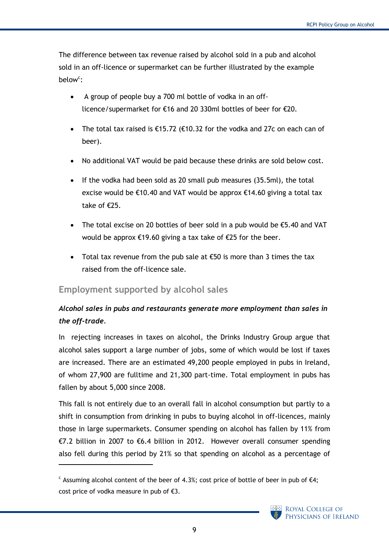The difference between tax revenue raised by alcohol sold in a pub and alcohol sold in an off-licence or supermarket can be further illustrated by the example below<sup>c</sup>:

- A group of people buy a 700 ml bottle of vodka in an offlicence/supermarket for €16 and 20 330ml bottles of beer for €20.
- The total tax raised is  $\epsilon$ 15.72 ( $\epsilon$ 10.32 for the vodka and 27c on each can of beer).
- No additional VAT would be paid because these drinks are sold below cost.
- If the vodka had been sold as 20 small pub measures  $(35.5ml)$ , the total excise would be  $\epsilon$ 10.40 and VAT would be approx  $\epsilon$ 14.60 giving a total tax take of €25.
- The total excise on 20 bottles of beer sold in a pub would be €5.40 and VAT would be approx €19.60 giving a tax take of €25 for the beer.
- Total tax revenue from the pub sale at  $\epsilon$ 50 is more than 3 times the tax raised from the off-licence sale.

#### <span id="page-8-0"></span>**Employment supported by alcohol sales**

-

## *Alcohol sales in pubs and restaurants generate more employment than sales in the off-trade.*

In rejecting increases in taxes on alcohol, the Drinks Industry Group argue that alcohol sales support a large number of jobs, some of which would be lost if taxes are increased. There are an estimated 49,200 people employed in pubs in Ireland, of whom 27,900 are fulltime and 21,300 part-time. Total employment in pubs has fallen by about 5,000 since 2008.

This fall is not entirely due to an overall fall in alcohol consumption but partly to a shift in consumption from drinking in pubs to buying alcohol in off-licences, mainly those in large supermarkets. Consumer spending on alcohol has fallen by 11% from €7.2 billion in 2007 to €6.4 billion in 2012. However overall consumer spending also fell during this period by 21% so that spending on alcohol as a percentage of

 $\epsilon$  Assuming alcohol content of the beer of 4.3%; cost price of bottle of beer in pub of  $\epsilon$ 4; cost price of vodka measure in pub of  $\epsilon$ 3.

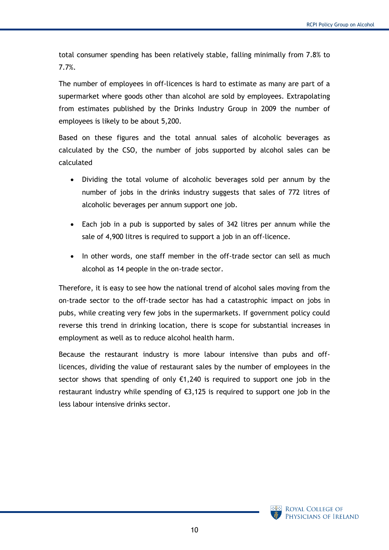total consumer spending has been relatively stable, falling minimally from 7.8% to 7.7%.

The number of employees in off-licences is hard to estimate as many are part of a supermarket where goods other than alcohol are sold by employees. Extrapolating from estimates published by the Drinks Industry Group in 2009 the number of employees is likely to be about 5,200.

Based on these figures and the total annual sales of alcoholic beverages as calculated by the CSO, the number of jobs supported by alcohol sales can be calculated

- Dividing the total volume of alcoholic beverages sold per annum by the number of jobs in the drinks industry suggests that sales of 772 litres of alcoholic beverages per annum support one job.
- Each job in a pub is supported by sales of 342 litres per annum while the sale of 4,900 litres is required to support a job in an off-licence.
- In other words, one staff member in the off-trade sector can sell as much alcohol as 14 people in the on-trade sector.

Therefore, it is easy to see how the national trend of alcohol sales moving from the on-trade sector to the off-trade sector has had a catastrophic impact on jobs in pubs, while creating very few jobs in the supermarkets. If government policy could reverse this trend in drinking location, there is scope for substantial increases in employment as well as to reduce alcohol health harm.

Because the restaurant industry is more labour intensive than pubs and offlicences, dividing the value of restaurant sales by the number of employees in the sector shows that spending of only  $\epsilon$ 1,240 is required to support one job in the restaurant industry while spending of €3,125 is required to support one job in the less labour intensive drinks sector.

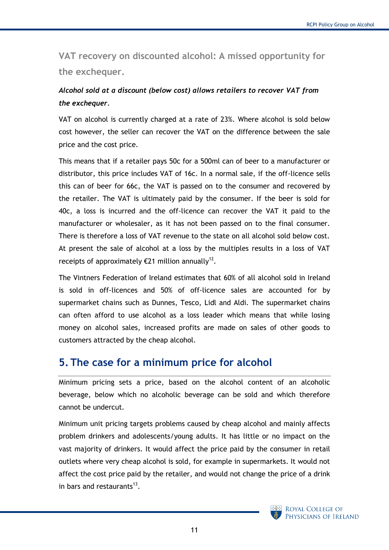<span id="page-10-0"></span>**VAT recovery on discounted alcohol: A missed opportunity for the exchequer.**

# *Alcohol sold at a discount (below cost) allows retailers to recover VAT from the exchequer.*

VAT on alcohol is currently charged at a rate of 23%. Where alcohol is sold below cost however, the seller can recover the VAT on the difference between the sale price and the cost price.

This means that if a retailer pays 50c for a 500ml can of beer to a manufacturer or distributor, this price includes VAT of 16c. In a normal sale, if the off-licence sells this can of beer for 66c, the VAT is passed on to the consumer and recovered by the retailer. The VAT is ultimately paid by the consumer. If the beer is sold for 40c, a loss is incurred and the off-licence can recover the VAT it paid to the manufacturer or wholesaler, as it has not been passed on to the final consumer. There is therefore a loss of VAT revenue to the state on all alcohol sold below cost. At present the sale of alcohol at a loss by the multiples results in a loss of VAT receipts of approximately  $E$ 21 million annually<sup>12</sup>.

The Vintners Federation of Ireland estimates that 60% of all alcohol sold in Ireland is sold in off-licences and 50% of off-licence sales are accounted for by supermarket chains such as Dunnes, Tesco, Lidl and Aldi. The supermarket chains can often afford to use alcohol as a loss leader which means that while losing money on alcohol sales, increased profits are made on sales of other goods to customers attracted by the cheap alcohol.

# <span id="page-10-1"></span>**5. The case for a minimum price for alcohol**

Minimum pricing sets a price, based on the alcohol content of an alcoholic beverage, below which no alcoholic beverage can be sold and which therefore cannot be undercut.

Minimum unit pricing targets problems caused by cheap alcohol and mainly affects problem drinkers and adolescents/young adults. It has little or no impact on the vast majority of drinkers. It would affect the price paid by the consumer in retail outlets where very cheap alcohol is sold, for example in supermarkets. It would not affect the cost price paid by the retailer, and would not change the price of a drink in bars and restaurants $^{13}$ .

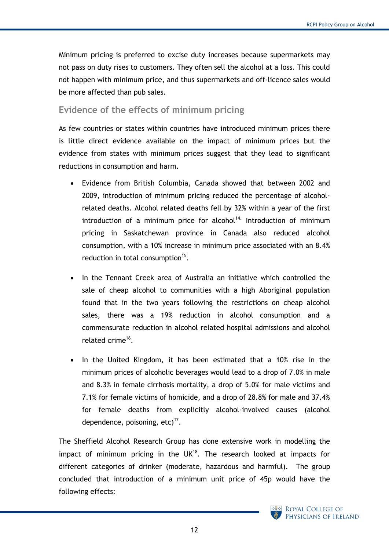Minimum pricing is preferred to excise duty increases because supermarkets may not pass on duty rises to customers. They often sell the alcohol at a loss. This could not happen with minimum price, and thus supermarkets and off-licence sales would be more affected than pub sales.

#### <span id="page-11-0"></span>**Evidence of the effects of minimum pricing**

As few countries or states within countries have introduced minimum prices there is little direct evidence available on the impact of minimum prices but the evidence from states with minimum prices suggest that they lead to significant reductions in consumption and harm.

- Evidence from British Columbia, Canada showed that between 2002 and 2009, introduction of minimum pricing reduced the percentage of alcoholrelated deaths. Alcohol related deaths fell by 32% within a year of the first introduction of a minimum price for alcohol<sup>14.</sup> Introduction of minimum pricing in Saskatchewan province in Canada also reduced alcohol consumption, with a 10% increase in minimum price associated with an 8.4% reduction in total consumption $15$ .
- In the Tennant Creek area of Australia an initiative which controlled the sale of cheap alcohol to communities with a high Aboriginal population found that in the two years following the restrictions on cheap alcohol sales, there was a 19% reduction in alcohol consumption and a commensurate reduction in alcohol related hospital admissions and alcohol related crime<sup>16</sup>.
- In the United Kingdom, it has been estimated that a 10% rise in the minimum prices of alcoholic beverages would lead to a drop of 7.0% in male and 8.3% in female cirrhosis mortality, a drop of 5.0% for male victims and 7.1% for female victims of homicide, and a drop of 28.8% for male and 37.4% for female deaths from explicitly alcohol-involved causes (alcohol dependence, poisoning, etc) $^{17}$ .

The Sheffield Alcohol Research Group has done extensive work in modelling the impact of minimum pricing in the  $UK^{18}$ . The research looked at impacts for different categories of drinker (moderate, hazardous and harmful). The group concluded that introduction of a minimum unit price of 45p would have the following effects:

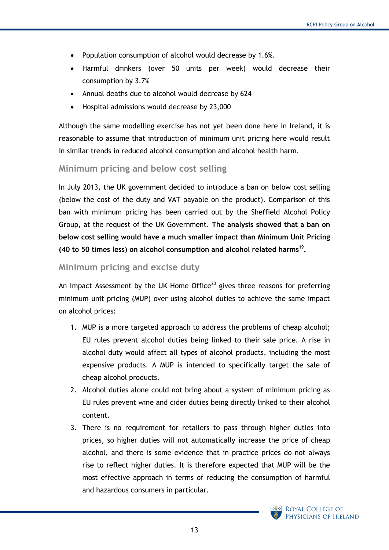- Population consumption of alcohol would decrease by 1.6%.
- Harmful drinkers (over 50 units per week) would decrease their consumption by 3.7%
- Annual deaths due to alcohol would decrease by 624
- Hospital admissions would decrease by 23,000

Although the same modelling exercise has not yet been done here in Ireland, it is reasonable to assume that introduction of minimum unit pricing here would result in similar trends in reduced alcohol consumption and alcohol health harm.

#### <span id="page-12-0"></span>**Minimum pricing and below cost selling**

In July 2013, the UK government decided to introduce a ban on below cost selling (below the cost of the duty and VAT payable on the product). Comparison of this ban with minimum pricing has been carried out by the Sheffield Alcohol Policy Group, at the request of the UK Government. **The analysis showed that a ban on below cost selling would have a much smaller impact than Minimum Unit Pricing (40 to 50 times less) on alcohol consumption and alcohol related harms**<sup>19</sup> **.**

#### <span id="page-12-1"></span>**Minimum pricing and excise duty**

An Impact Assessment by the UK Home Office<sup>20</sup> gives three reasons for preferring minimum unit pricing (MUP) over using alcohol duties to achieve the same impact on alcohol prices:

- 1. MUP is a more targeted approach to address the problems of cheap alcohol; EU rules prevent alcohol duties being linked to their sale price. A rise in alcohol duty would affect all types of alcohol products, including the most expensive products. A MUP is intended to specifically target the sale of cheap alcohol products.
- 2. Alcohol duties alone could not bring about a system of minimum pricing as EU rules prevent wine and cider duties being directly linked to their alcohol content.
- 3. There is no requirement for retailers to pass through higher duties into prices, so higher duties will not automatically increase the price of cheap alcohol, and there is some evidence that in practice prices do not always rise to reflect higher duties. It is therefore expected that MUP will be the most effective approach in terms of reducing the consumption of harmful and hazardous consumers in particular.

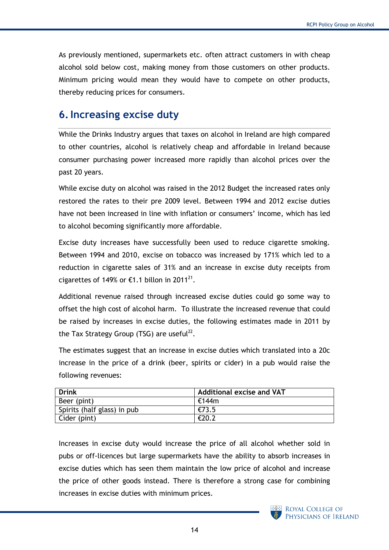As previously mentioned, supermarkets etc. often attract customers in with cheap alcohol sold below cost, making money from those customers on other products. Minimum pricing would mean they would have to compete on other products, thereby reducing prices for consumers.

# <span id="page-13-0"></span>**6.Increasing excise duty**

While the Drinks Industry argues that taxes on alcohol in Ireland are high compared to other countries, alcohol is relatively cheap and affordable in Ireland because consumer purchasing power increased more rapidly than alcohol prices over the past 20 years.

While excise duty on alcohol was raised in the 2012 Budget the increased rates only restored the rates to their pre 2009 level. Between 1994 and 2012 excise duties have not been increased in line with inflation or consumers' income, which has led to alcohol becoming significantly more affordable.

Excise duty increases have successfully been used to reduce cigarette smoking. Between 1994 and 2010, excise on tobacco was increased by 171% which led to a reduction in cigarette sales of 31% and an increase in excise duty receipts from cigarettes of 149% or  $E1.1$  billon in 2011<sup>21</sup>.

Additional revenue raised through increased excise duties could go some way to offset the high cost of alcohol harm. To illustrate the increased revenue that could be raised by increases in excise duties, the following estimates made in 2011 by the Tax Strategy Group (TSG) are useful<sup>22</sup>.

The estimates suggest that an increase in excise duties which translated into a 20c increase in the price of a drink (beer, spirits or cider) in a pub would raise the following revenues:

| <b>Drink</b>                | <b>Additional excise and VAT</b> |
|-----------------------------|----------------------------------|
| Beer (pint)                 | €144m                            |
| Spirits (half glass) in pub | €73.5                            |
| Cider (pint)                | €20.2                            |

Increases in excise duty would increase the price of all alcohol whether sold in pubs or off-licences but large supermarkets have the ability to absorb increases in excise duties which has seen them maintain the low price of alcohol and increase the price of other goods instead. There is therefore a strong case for combining increases in excise duties with minimum prices.

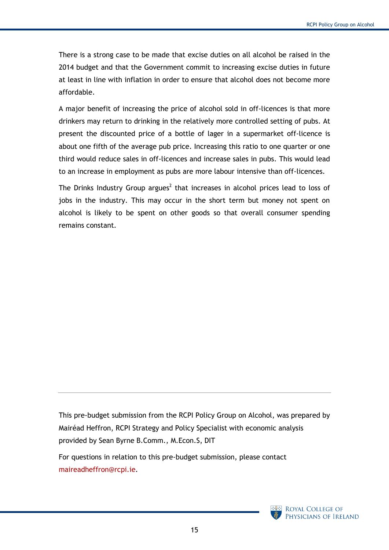There is a strong case to be made that excise duties on all alcohol be raised in the 2014 budget and that the Government commit to increasing excise duties in future at least in line with inflation in order to ensure that alcohol does not become more affordable.

A major benefit of increasing the price of alcohol sold in off-licences is that more drinkers may return to drinking in the relatively more controlled setting of pubs. At present the discounted price of a bottle of lager in a supermarket off-licence is about one fifth of the average pub price. Increasing this ratio to one quarter or one third would reduce sales in off-licences and increase sales in pubs. This would lead to an increase in employment as pubs are more labour intensive than off-licences.

The Drink[s](#page-2-2) Industry Group argues<sup>2</sup> that increases in alcohol prices lead to loss of jobs in the industry. This may occur in the short term but money not spent on alcohol is likely to be spent on other goods so that overall consumer spending remains constant.

This pre-budget submission from the RCPI Policy Group on Alcohol, was prepared by Mairéad Heffron, RCPI Strategy and Policy Specialist with economic analysis provided by Sean Byrne B.Comm., M.Econ.S, DIT

For questions in relation to this pre-budget submission, please contact [maireadheffron@rcpi.ie.](mailto:maireadheffron@rcpi.ie)

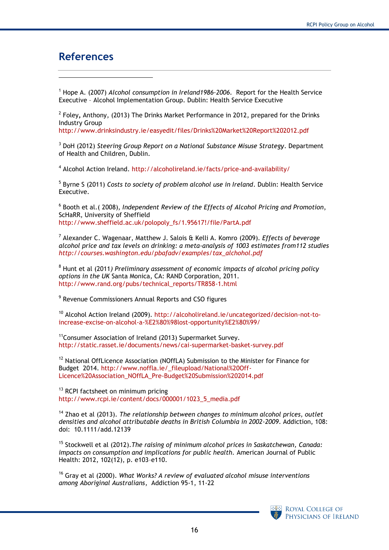# <span id="page-15-0"></span>**References**

-

<sup>1</sup> Hope A. (2007) *Alcohol consumption in Ireland1986–2006*. Report for the Health Service Executive – Alcohol Implementation Group. Dublin: Health Service Executive

2 Foley**,** Anthony, (2013) The Drinks Market Performance in 2012, prepared for the Drinks Industry Group

<http://www.drinksindustry.ie/easyedit/files/Drinks%20Market%20Report%202012.pdf>

<sup>3</sup> DoH (2012) *Steering Group Report on a National Substance Misuse Strategy*. Department of Health and Children, Dublin.

<sup>4</sup> Alcohol Action Ireland.<http://alcoholireland.ie/facts/price-and-availability/>

5 Byrne S (2011) *Costs to society of problem alcohol use in Ireland*. Dublin: Health Service Executive.

6 Booth et al.( 2008), *Independent Review of the Effects of Alcohol Pricing and Promotion*, ScHaRR, University of Sheffield [http://www.sheffield.ac.uk/polopoly\\_fs/1.95617!/file/PartA.pdf](http://www.sheffield.ac.uk/polopoly_fs/1.95617!/file/PartA.pdf)

7 Alexander C. Wagenaar, Matthew J. Salois & Kelli A. Komro (2009). *Effects of beverage alcohol price and tax levels on drinking: a meta-analysis of 1003 estimates from112 studies [http://courses.washington.edu/pbafadv/examples/tax\\_alchohol.pdf](http://courses.washington.edu/pbafadv/examples/tax_alchohol.pdf)*

<sup>8</sup> Hunt et al (2011*) Preliminary assessment of economic impacts of alcohol pricing policy options in the UK* Santa Monica, CA: RAND Corporation, 2011. [http://www.rand.org/pubs/technical\\_reports/TR858-1.html](http://www.rand.org/pubs/technical_reports/TR858-1.html)

<sup>9</sup> Revenue Commissioners Annual Reports and CSO figures

<sup>10</sup> Alcohol Action Ireland (2009). [http://alcoholireland.ie/uncategorized/decision-not-to](http://alcoholireland.ie/uncategorized/decision-not-to-increase-excise-on-alcohol-a-%E2%80%98lost-opportunity%E2%80%99/)[increase-excise-on-alcohol-a-%E2%80%98lost-opportunity%E2%80%99/](http://alcoholireland.ie/uncategorized/decision-not-to-increase-excise-on-alcohol-a-%E2%80%98lost-opportunity%E2%80%99/)

<sup>11</sup>Consumer Association of Ireland (2013) Supermarket Survey. <http://static.rasset.ie/documents/news/cai-supermarket-basket-survey.pdf>

<sup>12</sup> National OffLicence Association (NOffLA) Submission to the Minister for Finance for Budget 2014. [http://www.noffla.ie/\\_fileupload/National%20Off-](http://www.noffla.ie/_fileupload/National%20Off-Licence%20Association_NOffLA_Pre-Budget%20Submission%202014.pdf)[Licence%20Association\\_NOffLA\\_Pre-Budget%20Submission%202014.pdf](http://www.noffla.ie/_fileupload/National%20Off-Licence%20Association_NOffLA_Pre-Budget%20Submission%202014.pdf)

<sup>13</sup> RCPI factsheet on minimum pricing [http://www.rcpi.ie/content/docs/000001/1023\\_5\\_media.pdf](http://www.rcpi.ie/content/docs/000001/1023_5_media.pdf)

<sup>14</sup> Zhao et al (2013). *The relationship between changes to minimum alcohol prices, outlet densities and alcohol attributable deaths in British Columbia in 2002-2009*. Addiction, 108: doi: 10.1111/add.12139

<sup>15</sup> Stockwell et al (2012).*The raising of minimum alcohol prices in Saskatchewan, Canada: impacts on consumption and implications for public health.* American Journal of Public Health: 2012, 102(12), p. e103–e110.

<sup>16</sup> Gray et al (2000). *What Works? A review of evaluated alcohol misuse interventions among Aboriginal Australians*, Addiction 95-1, 11-22